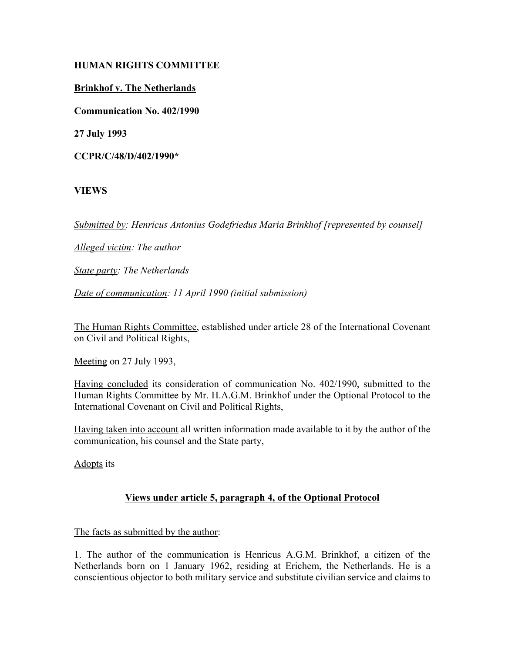## **HUMAN RIGHTS COMMITTEE**

# **Brinkhof v. The Netherlands**

**Communication No. 402/1990**

**27 July 1993**

**CCPR/C/48/D/402/1990\***

# **VIEWS**

*Submitted by: Henricus Antonius Godefriedus Maria Brinkhof [represented by counsel]*

*Alleged victim: The author*

*State party: The Netherlands*

*Date of communication: 11 April 1990 (initial submission)*

The Human Rights Committee, established under article 28 of the International Covenant on Civil and Political Rights,

Meeting on 27 July 1993,

Having concluded its consideration of communication No. 402/1990, submitted to the Human Rights Committee by Mr. H.A.G.M. Brinkhof under the Optional Protocol to the International Covenant on Civil and Political Rights,

Having taken into account all written information made available to it by the author of the communication, his counsel and the State party,

Adopts its

## **Views under article 5, paragraph 4, of the Optional Protocol**

## The facts as submitted by the author:

1. The author of the communication is Henricus A.G.M. Brinkhof, a citizen of the Netherlands born on 1 January 1962, residing at Erichem, the Netherlands. He is a conscientious objector to both military service and substitute civilian service and claims to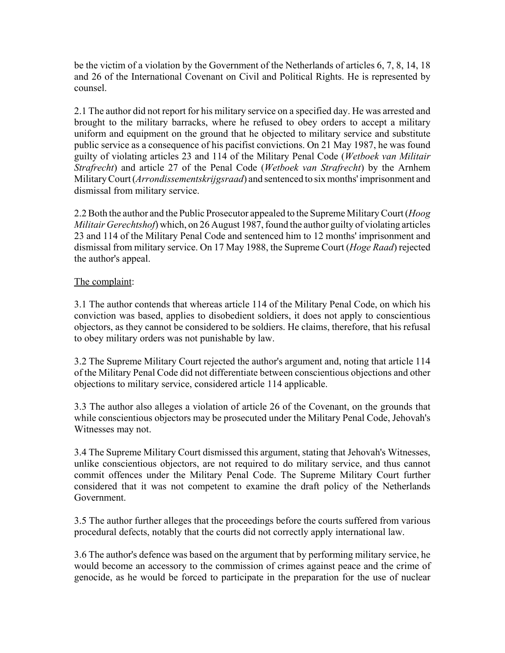be the victim of a violation by the Government of the Netherlands of articles 6, 7, 8, 14, 18 and 26 of the International Covenant on Civil and Political Rights. He is represented by counsel.

2.1 The author did not report for his military service on a specified day. He was arrested and brought to the military barracks, where he refused to obey orders to accept a military uniform and equipment on the ground that he objected to military service and substitute public service as a consequence of his pacifist convictions. On 21 May 1987, he was found guilty of violating articles 23 and 114 of the Military Penal Code (*Wetboek van Militair Strafrecht*) and article 27 of the Penal Code (*Wetboek van Strafrecht*) by the Arnhem Military Court (*Arrondissementskrijgsraad*) and sentenced to six months' imprisonment and dismissal from military service.

2.2 Both the author and the Public Prosecutor appealed to the Supreme Military Court (*Hoog Militair Gerechtshof*) which, on 26 August 1987, found the author guilty of violating articles 23 and 114 of the Military Penal Code and sentenced him to 12 months' imprisonment and dismissal from military service. On 17 May 1988, the Supreme Court (*Hoge Raad*) rejected the author's appeal.

### The complaint:

3.1 The author contends that whereas article 114 of the Military Penal Code, on which his conviction was based, applies to disobedient soldiers, it does not apply to conscientious objectors, as they cannot be considered to be soldiers. He claims, therefore, that his refusal to obey military orders was not punishable by law.

3.2 The Supreme Military Court rejected the author's argument and, noting that article 114 of the Military Penal Code did not differentiate between conscientious objections and other objections to military service, considered article 114 applicable.

3.3 The author also alleges a violation of article 26 of the Covenant, on the grounds that while conscientious objectors may be prosecuted under the Military Penal Code, Jehovah's Witnesses may not.

3.4 The Supreme Military Court dismissed this argument, stating that Jehovah's Witnesses, unlike conscientious objectors, are not required to do military service, and thus cannot commit offences under the Military Penal Code. The Supreme Military Court further considered that it was not competent to examine the draft policy of the Netherlands Government.

3.5 The author further alleges that the proceedings before the courts suffered from various procedural defects, notably that the courts did not correctly apply international law.

3.6 The author's defence was based on the argument that by performing military service, he would become an accessory to the commission of crimes against peace and the crime of genocide, as he would be forced to participate in the preparation for the use of nuclear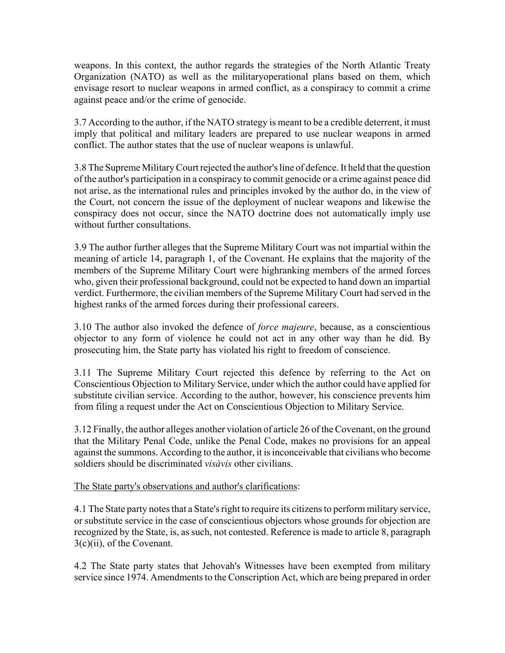weapons. In this context, the author regards the strategies of the North Atlantic Treaty Organization (NATO) as well as the militaryoperational plans based on them, which envisage resort to nuclear weapons in armed conflict, as a conspiracy to commit a crime against peace and/or the crime of genocide.

3.7 According to the author, if the NATO strategy is meant to be a credible deterrent, it must imply that political and military leaders are prepared to use nuclear weapons in armed conflict. The author states that the use of nuclear weapons is unlawful.

3.8 The Supreme Military Court rejected the author's line of defence. It held that the question of the author's participation in a conspiracy to commit genocide or a crime against peace did not arise, as the international rules and principles invoked by the author do, in the view of the Court, not concern the issue of the deployment of nuclear weapons and likewise the conspiracy does not occur, since the NATO doctrine does not automatically imply use without further consultations.

3.9 The author further alleges that the Supreme Military Court was not impartial within the meaning of article 14, paragraph 1, of the Covenant. He explains that the majority of the members of the Supreme Military Court were highranking members of the armed forces who, given their professional background, could not be expected to hand down an impartial verdict. Furthermore, the civilian members of the Supreme Military Court had served in the highest ranks of the armed forces during their professional careers.

3.10 The author also invoked the defence of *force majeure*, because, as a conscientious objector to any form of violence he could not act in any other way than he did. By prosecuting him, the State party has violated his right to freedom of conscience.

3.11 The Supreme Military Court rejected this defence by referring to the Act on Conscientious Objection to Military Service, under which the author could have applied for substitute civilian service. According to the author, however, his conscience prevents him from filing a request under the Act on Conscientious Objection to Military Service.

3.12 Finally, the author alleges another violation of article 26 of the Covenant, on the ground that the Military Penal Code, unlike the Penal Code, makes no provisions for an appeal against the summons. According to the author, it is inconceivable that civilians who become soldiers should be discriminated *visàvis* other civilians.

The State party's observations and author's clarifications:

4.1 The State party notes that a State's right to require its citizens to perform military service, or substitute service in the case of conscientious objectors whose grounds for objection are recognized by the State, is, as such, not contested. Reference is made to article 8, paragraph 3(c)(ii), of the Covenant.

4.2 The State party states that Jehovah's Witnesses have been exempted from military service since 1974. Amendments to the Conscription Act, which are being prepared in order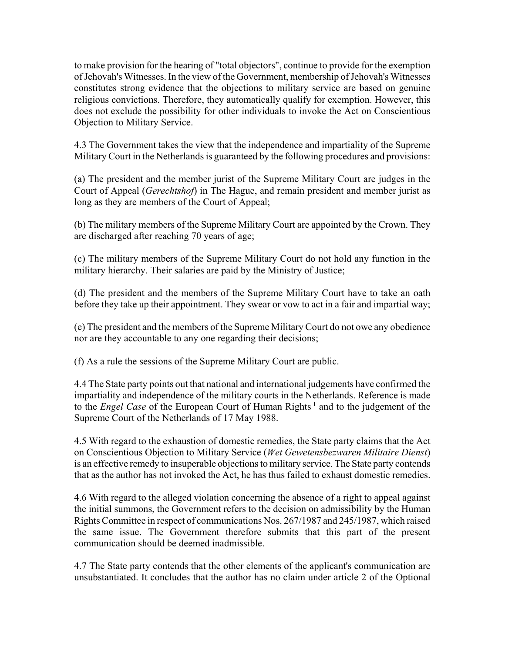to make provision for the hearing of "total objectors", continue to provide for the exemption of Jehovah's Witnesses. In the view of the Government, membership of Jehovah's Witnesses constitutes strong evidence that the objections to military service are based on genuine religious convictions. Therefore, they automatically qualify for exemption. However, this does not exclude the possibility for other individuals to invoke the Act on Conscientious Objection to Military Service.

4.3 The Government takes the view that the independence and impartiality of the Supreme Military Court in the Netherlands is guaranteed by the following procedures and provisions:

(a) The president and the member jurist of the Supreme Military Court are judges in the Court of Appeal (*Gerechtshof*) in The Hague, and remain president and member jurist as long as they are members of the Court of Appeal;

(b) The military members of the Supreme Military Court are appointed by the Crown. They are discharged after reaching 70 years of age;

(c) The military members of the Supreme Military Court do not hold any function in the military hierarchy. Their salaries are paid by the Ministry of Justice;

(d) The president and the members of the Supreme Military Court have to take an oath before they take up their appointment. They swear or vow to act in a fair and impartial way;

(e) The president and the members of the Supreme Military Court do not owe any obedience nor are they accountable to any one regarding their decisions;

(f) As a rule the sessions of the Supreme Military Court are public.

4.4 The State party points out that national and international judgements have confirmed the impartiality and independence of the military courts in the Netherlands. Reference is made to the *Engel Case* of the European Court of Human Rights<sup>1</sup> and to the judgement of the Supreme Court of the Netherlands of 17 May 1988.

4.5 With regard to the exhaustion of domestic remedies, the State party claims that the Act on Conscientious Objection to Military Service (*Wet Gewetensbezwaren Militaire Dienst*) is an effective remedy to insuperable objections to military service. The State party contends that as the author has not invoked the Act, he has thus failed to exhaust domestic remedies.

4.6 With regard to the alleged violation concerning the absence of a right to appeal against the initial summons, the Government refers to the decision on admissibility by the Human Rights Committee in respect of communications Nos. 267/1987 and 245/1987, which raised the same issue. The Government therefore submits that this part of the present communication should be deemed inadmissible.

4.7 The State party contends that the other elements of the applicant's communication are unsubstantiated. It concludes that the author has no claim under article 2 of the Optional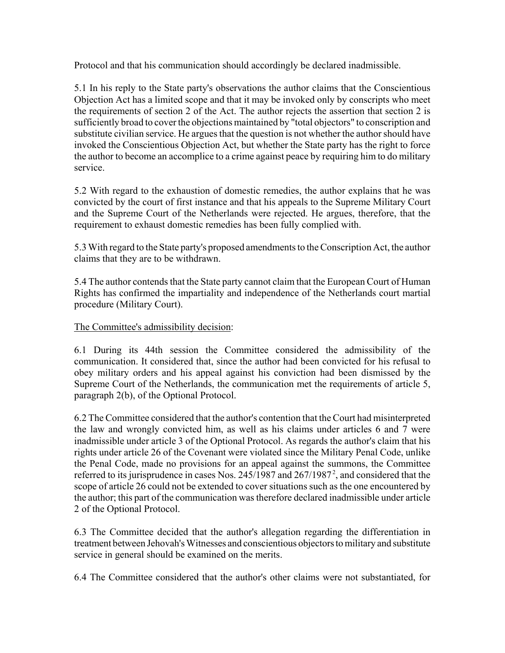Protocol and that his communication should accordingly be declared inadmissible.

5.1 In his reply to the State party's observations the author claims that the Conscientious Objection Act has a limited scope and that it may be invoked only by conscripts who meet the requirements of section 2 of the Act. The author rejects the assertion that section 2 is sufficiently broad to cover the objections maintained by "total objectors" to conscription and substitute civilian service. He argues that the question is not whether the author should have invoked the Conscientious Objection Act, but whether the State party has the right to force the author to become an accomplice to a crime against peace by requiring him to do military service.

5.2 With regard to the exhaustion of domestic remedies, the author explains that he was convicted by the court of first instance and that his appeals to the Supreme Military Court and the Supreme Court of the Netherlands were rejected. He argues, therefore, that the requirement to exhaust domestic remedies has been fully complied with.

5.3 With regard to the State party's proposed amendments to the Conscription Act, the author claims that they are to be withdrawn.

5.4 The author contends that the State party cannot claim that the European Court of Human Rights has confirmed the impartiality and independence of the Netherlands court martial procedure (Military Court).

## The Committee's admissibility decision:

6.1 During its 44th session the Committee considered the admissibility of the communication. It considered that, since the author had been convicted for his refusal to obey military orders and his appeal against his conviction had been dismissed by the Supreme Court of the Netherlands, the communication met the requirements of article 5, paragraph 2(b), of the Optional Protocol.

6.2 The Committee considered that the author's contention that the Court had misinterpreted the law and wrongly convicted him, as well as his claims under articles 6 and 7 were inadmissible under article 3 of the Optional Protocol. As regards the author's claim that his rights under article 26 of the Covenant were violated since the Military Penal Code, unlike the Penal Code, made no provisions for an appeal against the summons, the Committee referred to its jurisprudence in cases Nos.  $245/1987$  and  $267/1987^2$ , and considered that the scope of article 26 could not be extended to cover situations such as the one encountered by the author; this part of the communication was therefore declared inadmissible under article 2 of the Optional Protocol.

6.3 The Committee decided that the author's allegation regarding the differentiation in treatment between Jehovah's Witnesses and conscientious objectors to military and substitute service in general should be examined on the merits.

6.4 The Committee considered that the author's other claims were not substantiated, for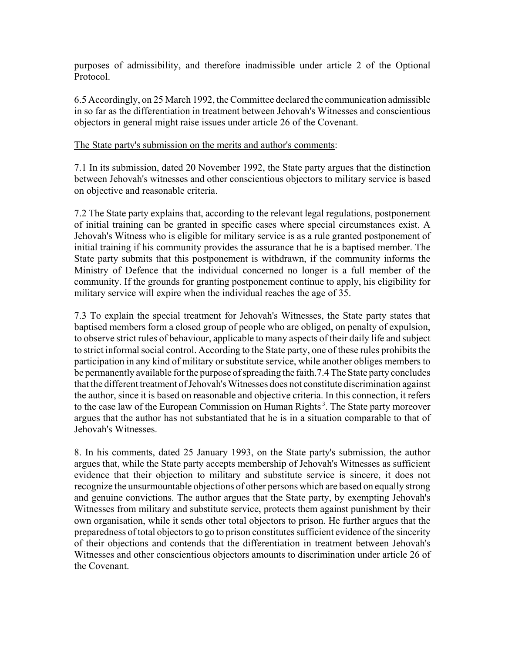purposes of admissibility, and therefore inadmissible under article 2 of the Optional Protocol.

6.5 Accordingly, on 25 March 1992, the Committee declared the communication admissible in so far as the differentiation in treatment between Jehovah's Witnesses and conscientious objectors in general might raise issues under article 26 of the Covenant.

#### The State party's submission on the merits and author's comments:

7.1 In its submission, dated 20 November 1992, the State party argues that the distinction between Jehovah's witnesses and other conscientious objectors to military service is based on objective and reasonable criteria.

7.2 The State party explains that, according to the relevant legal regulations, postponement of initial training can be granted in specific cases where special circumstances exist. A Jehovah's Witness who is eligible for military service is as a rule granted postponement of initial training if his community provides the assurance that he is a baptised member. The State party submits that this postponement is withdrawn, if the community informs the Ministry of Defence that the individual concerned no longer is a full member of the community. If the grounds for granting postponement continue to apply, his eligibility for military service will expire when the individual reaches the age of 35.

7.3 To explain the special treatment for Jehovah's Witnesses, the State party states that baptised members form a closed group of people who are obliged, on penalty of expulsion, to observe strict rules of behaviour, applicable to many aspects of their daily life and subject to strict informal social control. According to the State party, one of these rules prohibits the participation in any kind of military or substitute service, while another obliges members to be permanently available for the purpose of spreading the faith.7.4 The State party concludes that the different treatment of Jehovah's Witnesses does not constitute discrimination against the author, since it is based on reasonable and objective criteria. In this connection, it refers to the case law of the European Commission on Human Rights<sup>3</sup>. The State party moreover argues that the author has not substantiated that he is in a situation comparable to that of Jehovah's Witnesses.

8. In his comments, dated 25 January 1993, on the State party's submission, the author argues that, while the State party accepts membership of Jehovah's Witnesses as sufficient evidence that their objection to military and substitute service is sincere, it does not recognize the unsurmountable objections of other persons which are based on equally strong and genuine convictions. The author argues that the State party, by exempting Jehovah's Witnesses from military and substitute service, protects them against punishment by their own organisation, while it sends other total objectors to prison. He further argues that the preparedness of total objectors to go to prison constitutes sufficient evidence of the sincerity of their objections and contends that the differentiation in treatment between Jehovah's Witnesses and other conscientious objectors amounts to discrimination under article 26 of the Covenant.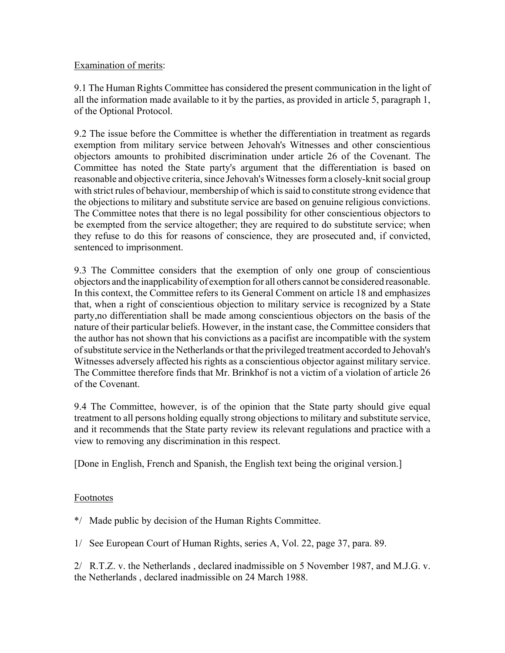### Examination of merits:

9.1 The Human Rights Committee has considered the present communication in the light of all the information made available to it by the parties, as provided in article 5, paragraph 1, of the Optional Protocol.

9.2 The issue before the Committee is whether the differentiation in treatment as regards exemption from military service between Jehovah's Witnesses and other conscientious objectors amounts to prohibited discrimination under article 26 of the Covenant. The Committee has noted the State party's argument that the differentiation is based on reasonable and objective criteria, since Jehovah's Witnesses form a closely-knit social group with strict rules of behaviour, membership of which is said to constitute strong evidence that the objections to military and substitute service are based on genuine religious convictions. The Committee notes that there is no legal possibility for other conscientious objectors to be exempted from the service altogether; they are required to do substitute service; when they refuse to do this for reasons of conscience, they are prosecuted and, if convicted, sentenced to imprisonment.

9.3 The Committee considers that the exemption of only one group of conscientious objectors and the inapplicability of exemption for all others cannot be considered reasonable. In this context, the Committee refers to its General Comment on article 18 and emphasizes that, when a right of conscientious objection to military service is recognized by a State party,no differentiation shall be made among conscientious objectors on the basis of the nature of their particular beliefs. However, in the instant case, the Committee considers that the author has not shown that his convictions as a pacifist are incompatible with the system of substitute service in the Netherlands or that the privileged treatment accorded to Jehovah's Witnesses adversely affected his rights as a conscientious objector against military service. The Committee therefore finds that Mr. Brinkhof is not a victim of a violation of article 26 of the Covenant.

9.4 The Committee, however, is of the opinion that the State party should give equal treatment to all persons holding equally strong objections to military and substitute service, and it recommends that the State party review its relevant regulations and practice with a view to removing any discrimination in this respect.

[Done in English, French and Spanish, the English text being the original version.]

## **Footnotes**

\*/ Made public by decision of the Human Rights Committee.

1/ See European Court of Human Rights, series A, Vol. 22, page 37, para. 89.

2/ R.T.Z. v. the Netherlands , declared inadmissible on 5 November 1987, and M.J.G. v. the Netherlands , declared inadmissible on 24 March 1988.